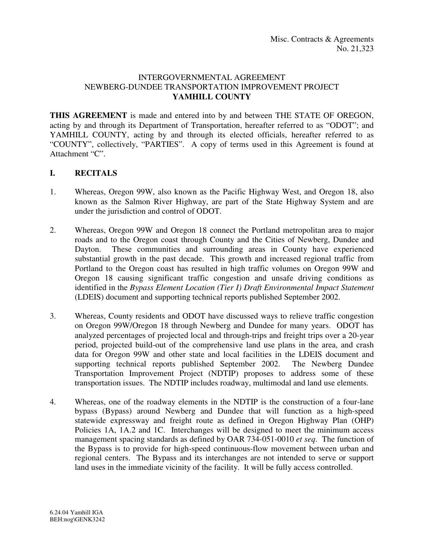### INTERGOVERNMENTAL AGREEMENT NEWBERG-DUNDEE TRANSPORTATION IMPROVEMENT PROJECT **YAMHILL COUNTY**

**THIS AGREEMENT** is made and entered into by and between THE STATE OF OREGON, acting by and through its Department of Transportation, hereafter referred to as "ODOT"; and YAMHILL COUNTY, acting by and through its elected officials, hereafter referred to as "COUNTY", collectively, "PARTIES". A copy of terms used in this Agreement is found at Attachment "C".

## **I. RECITALS**

- 1. Whereas, Oregon 99W, also known as the Pacific Highway West, and Oregon 18, also known as the Salmon River Highway, are part of the State Highway System and are under the jurisdiction and control of ODOT.
- 2. Whereas, Oregon 99W and Oregon 18 connect the Portland metropolitan area to major roads and to the Oregon coast through County and the Cities of Newberg, Dundee and Dayton. These communities and surrounding areas in County have experienced substantial growth in the past decade. This growth and increased regional traffic from Portland to the Oregon coast has resulted in high traffic volumes on Oregon 99W and Oregon 18 causing significant traffic congestion and unsafe driving conditions as identified in the *Bypass Element Location (Tier I) Draft Environmental Impact Statement* (LDEIS) document and supporting technical reports published September 2002.
- 3. Whereas, County residents and ODOT have discussed ways to relieve traffic congestion on Oregon 99W/Oregon 18 through Newberg and Dundee for many years. ODOT has analyzed percentages of projected local and through-trips and freight trips over a 20-year period, projected build-out of the comprehensive land use plans in the area, and crash data for Oregon 99W and other state and local facilities in the LDEIS document and supporting technical reports published September 2002. The Newberg Dundee Transportation Improvement Project (NDTIP) proposes to address some of these transportation issues. The NDTIP includes roadway, multimodal and land use elements.
- 4. Whereas, one of the roadway elements in the NDTIP is the construction of a four-lane bypass (Bypass) around Newberg and Dundee that will function as a high-speed statewide expressway and freight route as defined in Oregon Highway Plan (OHP) Policies 1A, 1A.2 and 1C. Interchanges will be designed to meet the minimum access management spacing standards as defined by OAR 734-051-0010 *et seq*. The function of the Bypass is to provide for high-speed continuous-flow movement between urban and regional centers. The Bypass and its interchanges are not intended to serve or support land uses in the immediate vicinity of the facility. It will be fully access controlled.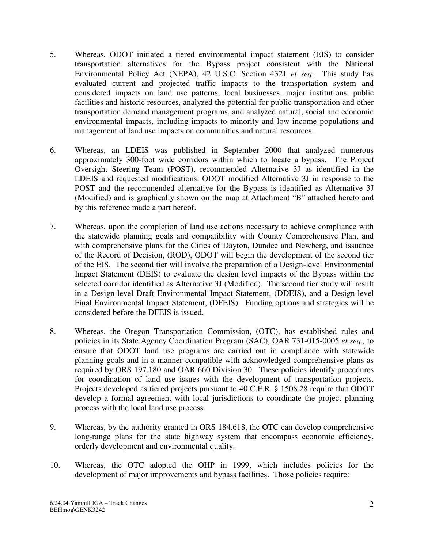- 5. Whereas, ODOT initiated a tiered environmental impact statement (EIS) to consider transportation alternatives for the Bypass project consistent with the National Environmental Policy Act (NEPA), 42 U.S.C. Section 4321 *et seq*. This study has evaluated current and projected traffic impacts to the transportation system and considered impacts on land use patterns, local businesses, major institutions, public facilities and historic resources, analyzed the potential for public transportation and other transportation demand management programs, and analyzed natural, social and economic environmental impacts, including impacts to minority and low-income populations and management of land use impacts on communities and natural resources.
- 6. Whereas, an LDEIS was published in September 2000 that analyzed numerous approximately 300-foot wide corridors within which to locate a bypass. The Project Oversight Steering Team (POST), recommended Alternative 3J as identified in the LDEIS and requested modifications. ODOT modified Alternative 3J in response to the POST and the recommended alternative for the Bypass is identified as Alternative 3J (Modified) and is graphically shown on the map at Attachment "B" attached hereto and by this reference made a part hereof.
- 7. Whereas, upon the completion of land use actions necessary to achieve compliance with the statewide planning goals and compatibility with County Comprehensive Plan, and with comprehensive plans for the Cities of Dayton, Dundee and Newberg, and issuance of the Record of Decision, (ROD), ODOT will begin the development of the second tier of the EIS. The second tier will involve the preparation of a Design-level Environmental Impact Statement (DEIS) to evaluate the design level impacts of the Bypass within the selected corridor identified as Alternative 3J (Modified). The second tier study will result in a Design-level Draft Environmental Impact Statement, (DDEIS), and a Design-level Final Environmental Impact Statement, (DFEIS). Funding options and strategies will be considered before the DFEIS is issued.
- 8. Whereas, the Oregon Transportation Commission, (OTC), has established rules and policies in its State Agency Coordination Program (SAC), OAR 731-015-0005 *et seq.,* to ensure that ODOT land use programs are carried out in compliance with statewide planning goals and in a manner compatible with acknowledged comprehensive plans as required by ORS 197.180 and OAR 660 Division 30. These policies identify procedures for coordination of land use issues with the development of transportation projects. Projects developed as tiered projects pursuant to 40 C.F.R. § 1508.28 require that ODOT develop a formal agreement with local jurisdictions to coordinate the project planning process with the local land use process.
- 9. Whereas, by the authority granted in ORS 184.618, the OTC can develop comprehensive long-range plans for the state highway system that encompass economic efficiency, orderly development and environmental quality.
- 10. Whereas, the OTC adopted the OHP in 1999, which includes policies for the development of major improvements and bypass facilities. Those policies require: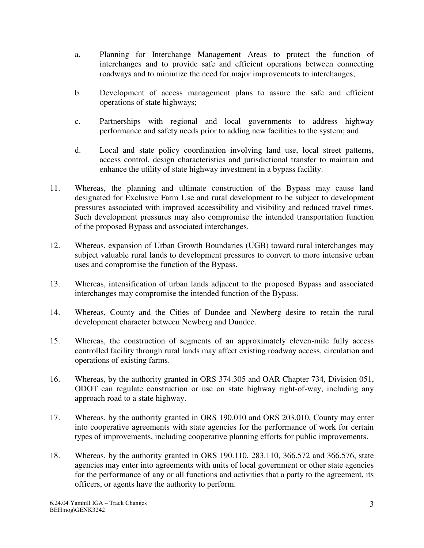- a. Planning for Interchange Management Areas to protect the function of interchanges and to provide safe and efficient operations between connecting roadways and to minimize the need for major improvements to interchanges;
- b. Development of access management plans to assure the safe and efficient operations of state highways;
- c. Partnerships with regional and local governments to address highway performance and safety needs prior to adding new facilities to the system; and
- d. Local and state policy coordination involving land use, local street patterns, access control, design characteristics and jurisdictional transfer to maintain and enhance the utility of state highway investment in a bypass facility.
- 11. Whereas, the planning and ultimate construction of the Bypass may cause land designated for Exclusive Farm Use and rural development to be subject to development pressures associated with improved accessibility and visibility and reduced travel times. Such development pressures may also compromise the intended transportation function of the proposed Bypass and associated interchanges.
- 12. Whereas, expansion of Urban Growth Boundaries (UGB) toward rural interchanges may subject valuable rural lands to development pressures to convert to more intensive urban uses and compromise the function of the Bypass.
- 13. Whereas, intensification of urban lands adjacent to the proposed Bypass and associated interchanges may compromise the intended function of the Bypass.
- 14. Whereas, County and the Cities of Dundee and Newberg desire to retain the rural development character between Newberg and Dundee.
- 15. Whereas, the construction of segments of an approximately eleven-mile fully access controlled facility through rural lands may affect existing roadway access, circulation and operations of existing farms.
- 16. Whereas, by the authority granted in ORS 374.305 and OAR Chapter 734, Division 051, ODOT can regulate construction or use on state highway right-of-way, including any approach road to a state highway.
- 17. Whereas, by the authority granted in ORS 190.010 and ORS 203.010, County may enter into cooperative agreements with state agencies for the performance of work for certain types of improvements, including cooperative planning efforts for public improvements.
- 18. Whereas, by the authority granted in ORS 190.110, 283.110, 366.572 and 366.576, state agencies may enter into agreements with units of local government or other state agencies for the performance of any or all functions and activities that a party to the agreement, its officers, or agents have the authority to perform.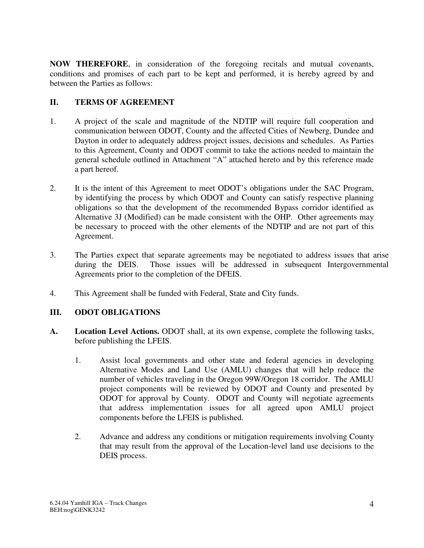**NOW THEREFORE**, in consideration of the foregoing recitals and mutual covenants, conditions and promises of each part to be kept and performed, it is hereby agreed by and between the Parties as follows:

## **II. TERMS OF AGREEMENT**

- 1. A project of the scale and magnitude of the NDTIP will require full cooperation and communication between ODOT, County and the affected Cities of Newberg, Dundee and Dayton in order to adequately address project issues, decisions and schedules. As Parties to this Agreement, County and ODOT commit to take the actions needed to maintain the general schedule outlined in Attachment "A" attached hereto and by this reference made a part hereof.
- 2. It is the intent of this Agreement to meet ODOT's obligations under the SAC Program, by identifying the process by which ODOT and County can satisfy respective planning obligations so that the development of the recommended Bypass corridor identified as Alternative 3J (Modified) can be made consistent with the OHP. Other agreements may be necessary to proceed with the other elements of the NDTIP and are not part of this Agreement.
- 3. The Parties expect that separate agreements may be negotiated to address issues that arise during the DEIS. Those issues will be addressed in subsequent Intergovernmental Agreements prior to the completion of the DFEIS.
- 4. This Agreement shall be funded with Federal, State and City funds.

## **III. ODOT OBLIGATIONS**

- **A. Location Level Actions.** ODOT shall, at its own expense, complete the following tasks, before publishing the LFEIS.
	- 1. Assist local governments and other state and federal agencies in developing Alternative Modes and Land Use (AMLU) changes that will help reduce the number of vehicles traveling in the Oregon 99W/Oregon 18 corridor. The AMLU project components will be reviewed by ODOT and County and presented by ODOT for approval by County. ODOT and County will negotiate agreements that address implementation issues for all agreed upon AMLU project components before the LFEIS is published.
	- 2. Advance and address any conditions or mitigation requirements involving County that may result from the approval of the Location-level land use decisions to the DEIS process.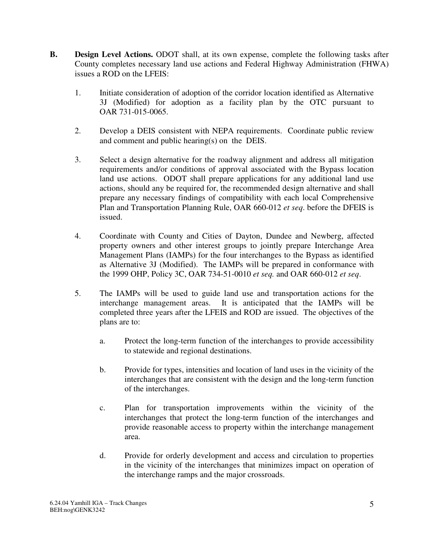- **B. Design Level Actions.** ODOT shall, at its own expense, complete the following tasks after County completes necessary land use actions and Federal Highway Administration (FHWA) issues a ROD on the LFEIS:
	- 1. Initiate consideration of adoption of the corridor location identified as Alternative 3J (Modified) for adoption as a facility plan by the OTC pursuant to OAR 731-015-0065.
	- 2. Develop a DEIS consistent with NEPA requirements. Coordinate public review and comment and public hearing(s) on the DEIS.
	- 3. Select a design alternative for the roadway alignment and address all mitigation requirements and/or conditions of approval associated with the Bypass location land use actions. ODOT shall prepare applications for any additional land use actions, should any be required for, the recommended design alternative and shall prepare any necessary findings of compatibility with each local Comprehensive Plan and Transportation Planning Rule, OAR 660-012 *et seq*. before the DFEIS is issued.
	- 4. Coordinate with County and Cities of Dayton, Dundee and Newberg, affected property owners and other interest groups to jointly prepare Interchange Area Management Plans (IAMPs) for the four interchanges to the Bypass as identified as Alternative 3J (Modified). The IAMPs will be prepared in conformance with the 1999 OHP, Policy 3C, OAR 734-51-0010 *et seq.* and OAR 660-012 *et seq*.
	- 5. The IAMPs will be used to guide land use and transportation actions for the interchange management areas. It is anticipated that the IAMPs will be completed three years after the LFEIS and ROD are issued. The objectives of the plans are to:
		- a. Protect the long-term function of the interchanges to provide accessibility to statewide and regional destinations.
		- b. Provide for types, intensities and location of land uses in the vicinity of the interchanges that are consistent with the design and the long-term function of the interchanges.
		- c. Plan for transportation improvements within the vicinity of the interchanges that protect the long-term function of the interchanges and provide reasonable access to property within the interchange management area.
		- d. Provide for orderly development and access and circulation to properties in the vicinity of the interchanges that minimizes impact on operation of the interchange ramps and the major crossroads.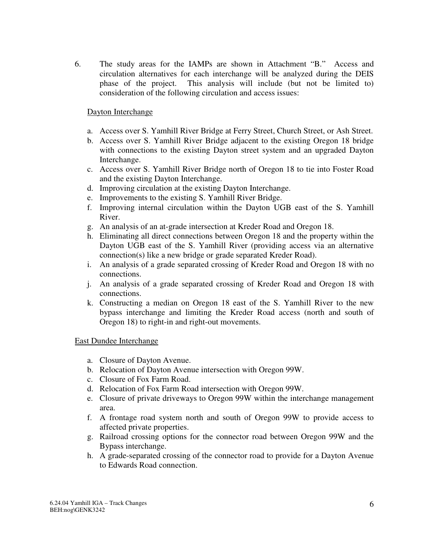6. The study areas for the IAMPs are shown in Attachment "B." Access and circulation alternatives for each interchange will be analyzed during the DEIS phase of the project. This analysis will include (but not be limited to) consideration of the following circulation and access issues:

### Dayton Interchange

- a. Access over S. Yamhill River Bridge at Ferry Street, Church Street, or Ash Street.
- b. Access over S. Yamhill River Bridge adjacent to the existing Oregon 18 bridge with connections to the existing Dayton street system and an upgraded Dayton Interchange.
- c. Access over S. Yamhill River Bridge north of Oregon 18 to tie into Foster Road and the existing Dayton Interchange.
- d. Improving circulation at the existing Dayton Interchange.
- e. Improvements to the existing S. Yamhill River Bridge.
- f. Improving internal circulation within the Dayton UGB east of the S. Yamhill River.
- g. An analysis of an at-grade intersection at Kreder Road and Oregon 18.
- h. Eliminating all direct connections between Oregon 18 and the property within the Dayton UGB east of the S. Yamhill River (providing access via an alternative connection(s) like a new bridge or grade separated Kreder Road).
- i. An analysis of a grade separated crossing of Kreder Road and Oregon 18 with no connections.
- j. An analysis of a grade separated crossing of Kreder Road and Oregon 18 with connections.
- k. Constructing a median on Oregon 18 east of the S. Yamhill River to the new bypass interchange and limiting the Kreder Road access (north and south of Oregon 18) to right-in and right-out movements.

#### East Dundee Interchange

- a. Closure of Dayton Avenue.
- b. Relocation of Dayton Avenue intersection with Oregon 99W.
- c. Closure of Fox Farm Road.
- d. Relocation of Fox Farm Road intersection with Oregon 99W.
- e. Closure of private driveways to Oregon 99W within the interchange management area.
- f. A frontage road system north and south of Oregon 99W to provide access to affected private properties.
- g. Railroad crossing options for the connector road between Oregon 99W and the Bypass interchange.
- h. A grade-separated crossing of the connector road to provide for a Dayton Avenue to Edwards Road connection.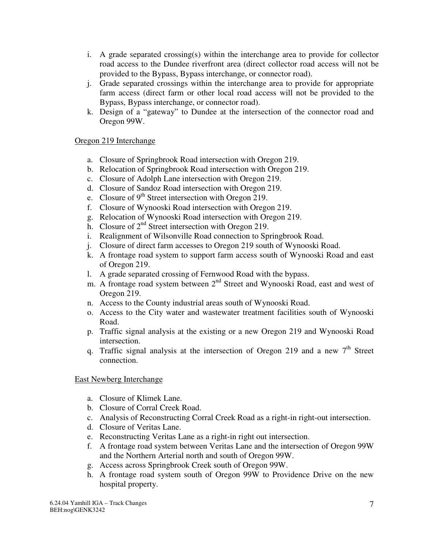- i. A grade separated crossing(s) within the interchange area to provide for collector road access to the Dundee riverfront area (direct collector road access will not be provided to the Bypass, Bypass interchange, or connector road).
- j. Grade separated crossings within the interchange area to provide for appropriate farm access (direct farm or other local road access will not be provided to the Bypass, Bypass interchange, or connector road).
- k. Design of a "gateway" to Dundee at the intersection of the connector road and Oregon 99W.

## Oregon 219 Interchange

- a. Closure of Springbrook Road intersection with Oregon 219.
- b. Relocation of Springbrook Road intersection with Oregon 219.
- c. Closure of Adolph Lane intersection with Oregon 219.
- d. Closure of Sandoz Road intersection with Oregon 219.
- e. Closure of  $9<sup>th</sup>$  Street intersection with Oregon 219.
- f. Closure of Wynooski Road intersection with Oregon 219.
- g. Relocation of Wynooski Road intersection with Oregon 219.
- h. Closure of  $2<sup>nd</sup>$  Street intersection with Oregon 219.
- i. Realignment of Wilsonville Road connection to Springbrook Road.
- j. Closure of direct farm accesses to Oregon 219 south of Wynooski Road.
- k. A frontage road system to support farm access south of Wynooski Road and east of Oregon 219.
- l. A grade separated crossing of Fernwood Road with the bypass.
- m. A frontage road system between 2<sup>nd</sup> Street and Wynooski Road, east and west of Oregon 219.
- n. Access to the County industrial areas south of Wynooski Road.
- o. Access to the City water and wastewater treatment facilities south of Wynooski Road.
- p. Traffic signal analysis at the existing or a new Oregon 219 and Wynooski Road intersection.
- q. Traffic signal analysis at the intersection of Oregon 219 and a new  $7<sup>th</sup>$  Street connection.

East Newberg Interchange

- a. Closure of Klimek Lane.
- b. Closure of Corral Creek Road.
- c. Analysis of Reconstructing Corral Creek Road as a right-in right-out intersection.
- d. Closure of Veritas Lane.
- e. Reconstructing Veritas Lane as a right-in right out intersection.
- f. A frontage road system between Veritas Lane and the intersection of Oregon 99W and the Northern Arterial north and south of Oregon 99W.
- g. Access across Springbrook Creek south of Oregon 99W.
- h. A frontage road system south of Oregon 99W to Providence Drive on the new hospital property.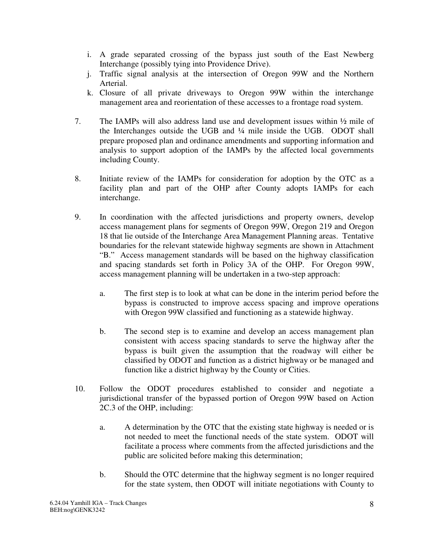- i. A grade separated crossing of the bypass just south of the East Newberg Interchange (possibly tying into Providence Drive).
- j. Traffic signal analysis at the intersection of Oregon 99W and the Northern Arterial.
- k. Closure of all private driveways to Oregon 99W within the interchange management area and reorientation of these accesses to a frontage road system.
- 7. The IAMPs will also address land use and development issues within ½ mile of the Interchanges outside the UGB and ¼ mile inside the UGB. ODOT shall prepare proposed plan and ordinance amendments and supporting information and analysis to support adoption of the IAMPs by the affected local governments including County.
- 8. Initiate review of the IAMPs for consideration for adoption by the OTC as a facility plan and part of the OHP after County adopts IAMPs for each interchange.
- 9. In coordination with the affected jurisdictions and property owners, develop access management plans for segments of Oregon 99W, Oregon 219 and Oregon 18 that lie outside of the Interchange Area Management Planning areas. Tentative boundaries for the relevant statewide highway segments are shown in Attachment "B." Access management standards will be based on the highway classification and spacing standards set forth in Policy 3A of the OHP. For Oregon 99W, access management planning will be undertaken in a two-step approach:
	- a. The first step is to look at what can be done in the interim period before the bypass is constructed to improve access spacing and improve operations with Oregon 99W classified and functioning as a statewide highway.
	- b. The second step is to examine and develop an access management plan consistent with access spacing standards to serve the highway after the bypass is built given the assumption that the roadway will either be classified by ODOT and function as a district highway or be managed and function like a district highway by the County or Cities.
- 10. Follow the ODOT procedures established to consider and negotiate a jurisdictional transfer of the bypassed portion of Oregon 99W based on Action 2C.3 of the OHP, including:
	- a. A determination by the OTC that the existing state highway is needed or is not needed to meet the functional needs of the state system. ODOT will facilitate a process where comments from the affected jurisdictions and the public are solicited before making this determination;
	- b. Should the OTC determine that the highway segment is no longer required for the state system, then ODOT will initiate negotiations with County to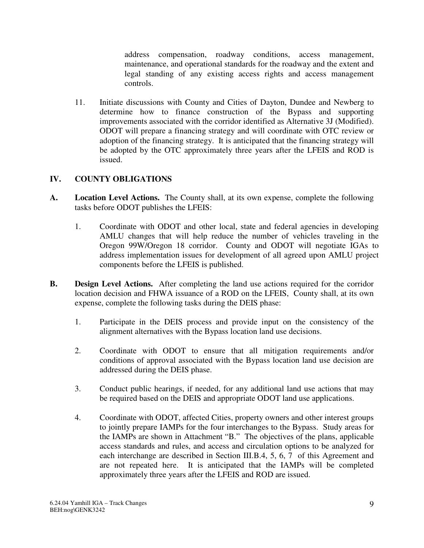address compensation, roadway conditions, access management, maintenance, and operational standards for the roadway and the extent and legal standing of any existing access rights and access management controls.

11. Initiate discussions with County and Cities of Dayton, Dundee and Newberg to determine how to finance construction of the Bypass and supporting improvements associated with the corridor identified as Alternative 3J (Modified). ODOT will prepare a financing strategy and will coordinate with OTC review or adoption of the financing strategy. It is anticipated that the financing strategy will be adopted by the OTC approximately three years after the LFEIS and ROD is issued.

## **IV. COUNTY OBLIGATIONS**

- **A. Location Level Actions.** The County shall, at its own expense, complete the following tasks before ODOT publishes the LFEIS:
	- 1. Coordinate with ODOT and other local, state and federal agencies in developing AMLU changes that will help reduce the number of vehicles traveling in the Oregon 99W/Oregon 18 corridor. County and ODOT will negotiate IGAs to address implementation issues for development of all agreed upon AMLU project components before the LFEIS is published.
- **B. Design Level Actions.** After completing the land use actions required for the corridor location decision and FHWA issuance of a ROD on the LFEIS, County shall, at its own expense, complete the following tasks during the DEIS phase:
	- 1. Participate in the DEIS process and provide input on the consistency of the alignment alternatives with the Bypass location land use decisions.
	- 2. Coordinate with ODOT to ensure that all mitigation requirements and/or conditions of approval associated with the Bypass location land use decision are addressed during the DEIS phase.
	- 3. Conduct public hearings, if needed, for any additional land use actions that may be required based on the DEIS and appropriate ODOT land use applications.
	- 4. Coordinate with ODOT, affected Cities, property owners and other interest groups to jointly prepare IAMPs for the four interchanges to the Bypass. Study areas for the IAMPs are shown in Attachment "B." The objectives of the plans, applicable access standards and rules, and access and circulation options to be analyzed for each interchange are described in Section III.B.4, 5, 6, 7 of this Agreement and are not repeated here. It is anticipated that the IAMPs will be completed approximately three years after the LFEIS and ROD are issued.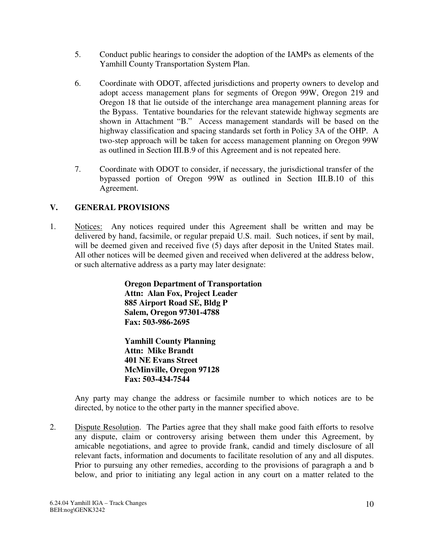- 5. Conduct public hearings to consider the adoption of the IAMPs as elements of the Yamhill County Transportation System Plan.
- 6. Coordinate with ODOT, affected jurisdictions and property owners to develop and adopt access management plans for segments of Oregon 99W, Oregon 219 and Oregon 18 that lie outside of the interchange area management planning areas for the Bypass. Tentative boundaries for the relevant statewide highway segments are shown in Attachment "B." Access management standards will be based on the highway classification and spacing standards set forth in Policy 3A of the OHP. A two-step approach will be taken for access management planning on Oregon 99W as outlined in Section III.B.9 of this Agreement and is not repeated here.
- 7. Coordinate with ODOT to consider, if necessary, the jurisdictional transfer of the bypassed portion of Oregon 99W as outlined in Section III.B.10 of this Agreement.

# **V. GENERAL PROVISIONS**

1. Notices: Any notices required under this Agreement shall be written and may be delivered by hand, facsimile, or regular prepaid U.S. mail. Such notices, if sent by mail, will be deemed given and received five (5) days after deposit in the United States mail. All other notices will be deemed given and received when delivered at the address below, or such alternative address as a party may later designate:

> **Oregon Department of Transportation Attn: Alan Fox, Project Leader 885 Airport Road SE, Bldg P Salem, Oregon 97301-4788 Fax: 503-986-2695**

**Yamhill County Planning Attn: Mike Brandt 401 NE Evans Street McMinville, Oregon 97128 Fax: 503-434-7544**

Any party may change the address or facsimile number to which notices are to be directed, by notice to the other party in the manner specified above.

2. Dispute Resolution. The Parties agree that they shall make good faith efforts to resolve any dispute, claim or controversy arising between them under this Agreement, by amicable negotiations, and agree to provide frank, candid and timely disclosure of all relevant facts, information and documents to facilitate resolution of any and all disputes. Prior to pursuing any other remedies, according to the provisions of paragraph a and b below, and prior to initiating any legal action in any court on a matter related to the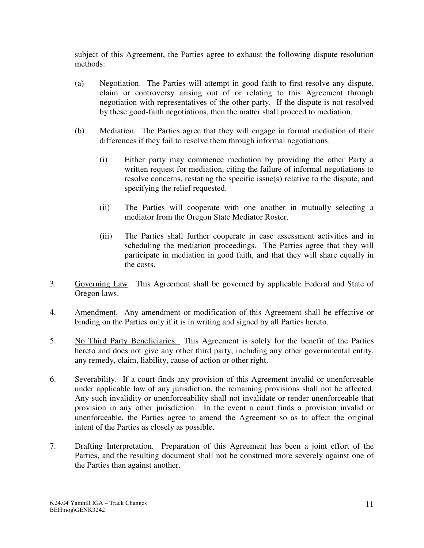subject of this Agreement, the Parties agree to exhaust the following dispute resolution methods:

- (a) Negotiation. The Parties will attempt in good faith to first resolve any dispute, claim or controversy arising out of or relating to this Agreement through negotiation with representatives of the other party. If the dispute is not resolved by these good-faith negotiations, then the matter shall proceed to mediation.
- (b) Mediation. The Parties agree that they will engage in formal mediation of their differences if they fail to resolve them through informal negotiations.
	- (i) Either party may commence mediation by providing the other Party a written request for mediation, citing the failure of informal negotiations to resolve concerns, restating the specific issue(s) relative to the dispute, and specifying the relief requested.
	- (ii) The Parties will cooperate with one another in mutually selecting a mediator from the Oregon State Mediator Roster.
	- (iii) The Parties shall further cooperate in case assessment activities and in scheduling the mediation proceedings. The Parties agree that they will participate in mediation in good faith, and that they will share equally in the costs.
- 3. Governing Law. This Agreement shall be governed by applicable Federal and State of Oregon laws.
- 4. Amendment. Any amendment or modification of this Agreement shall be effective or binding on the Parties only if it is in writing and signed by all Parties hereto.
- 5. No Third Party Beneficiaries. This Agreement is solely for the benefit of the Parties hereto and does not give any other third party, including any other governmental entity, any remedy, claim, liability, cause of action or other right.
- 6. Severability. If a court finds any provision of this Agreement invalid or unenforceable under applicable law of any jurisdiction, the remaining provisions shall not be affected. Any such invalidity or unenforceability shall not invalidate or render unenforceable that provision in any other jurisdiction. In the event a court finds a provision invalid or unenforceable, the Parties agree to amend the Agreement so as to affect the original intent of the Parties as closely as possible.
- 7. Drafting Interpretation. Preparation of this Agreement has been a joint effort of the Parties, and the resulting document shall not be construed more severely against one of the Parties than against another.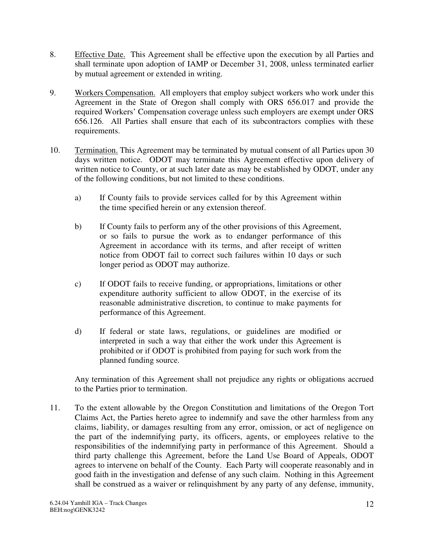- 8. Effective Date. This Agreement shall be effective upon the execution by all Parties and shall terminate upon adoption of IAMP or December 31, 2008, unless terminated earlier by mutual agreement or extended in writing.
- 9. Workers Compensation. All employers that employ subject workers who work under this Agreement in the State of Oregon shall comply with ORS 656.017 and provide the required Workers' Compensation coverage unless such employers are exempt under ORS 656.126. All Parties shall ensure that each of its subcontractors complies with these requirements.
- 10. Termination. This Agreement may be terminated by mutual consent of all Parties upon 30 days written notice. ODOT may terminate this Agreement effective upon delivery of written notice to County, or at such later date as may be established by ODOT, under any of the following conditions, but not limited to these conditions.
	- a) If County fails to provide services called for by this Agreement within the time specified herein or any extension thereof.
	- b) If County fails to perform any of the other provisions of this Agreement, or so fails to pursue the work as to endanger performance of this Agreement in accordance with its terms, and after receipt of written notice from ODOT fail to correct such failures within 10 days or such longer period as ODOT may authorize.
	- c) If ODOT fails to receive funding, or appropriations, limitations or other expenditure authority sufficient to allow ODOT, in the exercise of its reasonable administrative discretion, to continue to make payments for performance of this Agreement.
	- d) If federal or state laws, regulations, or guidelines are modified or interpreted in such a way that either the work under this Agreement is prohibited or if ODOT is prohibited from paying for such work from the planned funding source.

Any termination of this Agreement shall not prejudice any rights or obligations accrued to the Parties prior to termination.

11. To the extent allowable by the Oregon Constitution and limitations of the Oregon Tort Claims Act, the Parties hereto agree to indemnify and save the other harmless from any claims, liability, or damages resulting from any error, omission, or act of negligence on the part of the indemnifying party, its officers, agents, or employees relative to the responsibilities of the indemnifying party in performance of this Agreement. Should a third party challenge this Agreement, before the Land Use Board of Appeals, ODOT agrees to intervene on behalf of the County. Each Party will cooperate reasonably and in good faith in the investigation and defense of any such claim. Nothing in this Agreement shall be construed as a waiver or relinquishment by any party of any defense, immunity,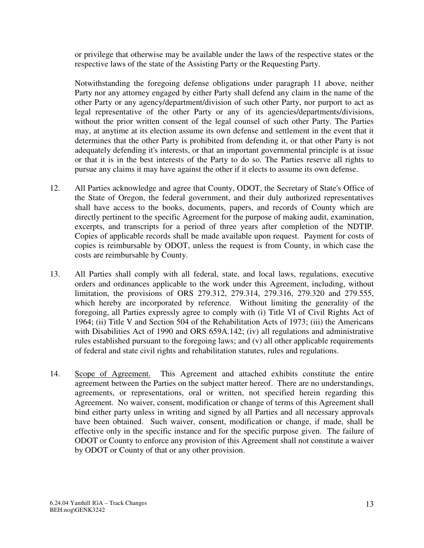or privilege that otherwise may be available under the laws of the respective states or the respective laws of the state of the Assisting Party or the Requesting Party.

Notwithstanding the foregoing defense obligations under paragraph 11 above, neither Party nor any attorney engaged by either Party shall defend any claim in the name of the other Party or any agency/department/division of such other Party, nor purport to act as legal representative of the other Party or any of its agencies/departments/divisions, without the prior written consent of the legal counsel of such other Party. The Parties may, at anytime at its election assume its own defense and settlement in the event that it determines that the other Party is prohibited from defending it, or that other Party is not adequately defending it's interests, or that an important governmental principle is at issue or that it is in the best interests of the Party to do so. The Parties reserve all rights to pursue any claims it may have against the other if it elects to assume its own defense.

- 12. All Parties acknowledge and agree that County, ODOT, the Secretary of State's Office of the State of Oregon, the federal government, and their duly authorized representatives shall have access to the books, documents, papers, and records of County which are directly pertinent to the specific Agreement for the purpose of making audit, examination, excerpts, and transcripts for a period of three years after completion of the NDTIP. Copies of applicable records shall be made available upon request. Payment for costs of copies is reimbursable by ODOT, unless the request is from County, in which case the costs are reimbursable by County.
- 13. All Parties shall comply with all federal, state, and local laws, regulations, executive orders and ordinances applicable to the work under this Agreement, including, without limitation, the provisions of ORS 279.312, 279.314, 279.316, 279.320 and 279.555, which hereby are incorporated by reference. Without limiting the generality of the foregoing, all Parties expressly agree to comply with (i) Title VI of Civil Rights Act of 1964; (ii) Title V and Section 504 of the Rehabilitation Acts of 1973; (iii) the Americans with Disabilities Act of 1990 and ORS 659A.142; (iv) all regulations and administrative rules established pursuant to the foregoing laws; and (v) all other applicable requirements of federal and state civil rights and rehabilitation statutes, rules and regulations.
- 14. Scope of Agreement. This Agreement and attached exhibits constitute the entire agreement between the Parties on the subject matter hereof. There are no understandings, agreements, or representations, oral or written, not specified herein regarding this Agreement. No waiver, consent, modification or change of terms of this Agreement shall bind either party unless in writing and signed by all Parties and all necessary approvals have been obtained. Such waiver, consent, modification or change, if made, shall be effective only in the specific instance and for the specific purpose given. The failure of ODOT or County to enforce any provision of this Agreement shall not constitute a waiver by ODOT or County of that or any other provision.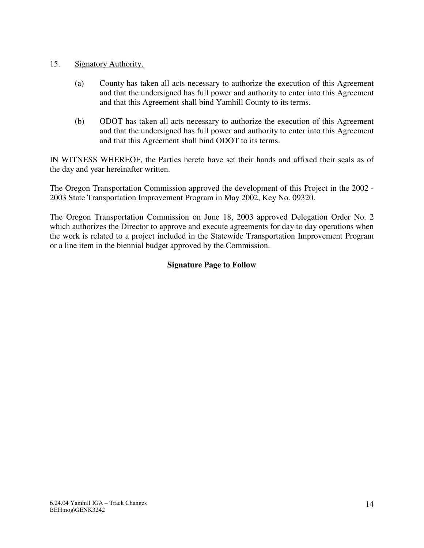- 15. Signatory Authority.
	- (a) County has taken all acts necessary to authorize the execution of this Agreement and that the undersigned has full power and authority to enter into this Agreement and that this Agreement shall bind Yamhill County to its terms.
	- (b) ODOT has taken all acts necessary to authorize the execution of this Agreement and that the undersigned has full power and authority to enter into this Agreement and that this Agreement shall bind ODOT to its terms.

IN WITNESS WHEREOF, the Parties hereto have set their hands and affixed their seals as of the day and year hereinafter written.

The Oregon Transportation Commission approved the development of this Project in the 2002 - 2003 State Transportation Improvement Program in May 2002, Key No. 09320.

The Oregon Transportation Commission on June 18, 2003 approved Delegation Order No. 2 which authorizes the Director to approve and execute agreements for day to day operations when the work is related to a project included in the Statewide Transportation Improvement Program or a line item in the biennial budget approved by the Commission.

## **Signature Page to Follow**